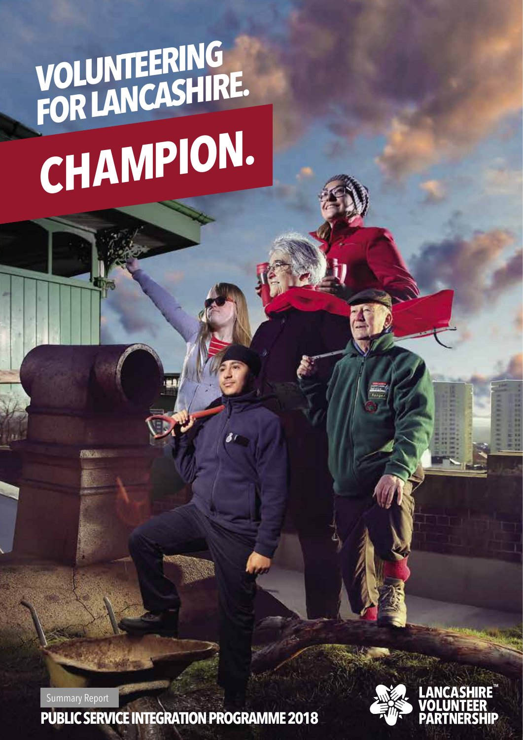## **VOLUNTEERING FOR LANCASHIRE. CHAMPION.**

Summary Report

**PUBLIC SERVICE INTEGRATION PROGRAMME 2018**

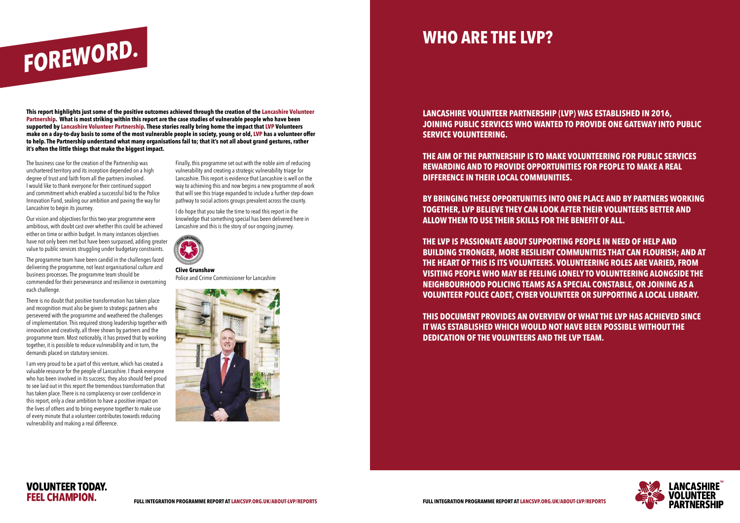**This report highlights just some of the positive outcomes achieved through the creation of the Lancashire Volunteer Partnership. What is most striking within this report are the case studies of vulnerable people who have been supported by Lancashire Volunteer Partnership. These stories really bring home the impact that LVP Volunteers make on a day-to-day basis to some of the most vulnerable people in society, young or old, LVP has a volunteer offer to help. The Partnership understand what many organisations fail to; that it's not all about grand gestures, rather it's often the little things that make the biggest impact.**

**LANCASHIRE VOLUNTEER PARTNERSHIP (LVP) WAS ESTABLISHED IN 2016, SERVICE VOLUNTEERING.** 

### **JOINING PUBLIC SERVICES WHO WANTED TO PROVIDE ONE GATEWAY INTO PUBLIC**

**THE AIM OF THE PARTNERSHIP IS TO MAKE VOLUNTEERING FOR PUBLIC SERVICES REWARDING AND TO PROVIDE OPPORTUNITIES FOR PEOPLE TO MAKE A REAL DIFFERENCE IN THEIR LOCAL COMMUNITIES.** 

**BY BRINGING THESE OPPORTUNITIES INTO ONE PLACE AND BY PARTNERS WORKING TOGETHER, LVP BELIEVE THEY CAN LOOK AFTER THEIR VOLUNTEERS BETTER AND ALLOW THEM TO USE THEIR SKILLS FOR THE BENEFIT OF ALL.** 

**THE LVP IS PASSIONATE ABOUT SUPPORTING PEOPLE IN NEED OF HELP AND BUILDING STRONGER, MORE RESILIENT COMMUNITIES THAT CAN FLOURISH; AND AT THE HEART OF THIS IS ITS VOLUNTEERS. VOLUNTEERING ROLES ARE VARIED, FROM VISITING PEOPLE WHO MAY BE FEELING LONELY TO VOLUNTEERING ALONGSIDE THE NEIGHBOURHOOD POLICING TEAMS AS A SPECIAL CONSTABLE, OR JOINING AS A VOLUNTEER POLICE CADET, CYBER VOLUNTEER OR SUPPORTING A LOCAL LIBRARY.**

**THIS DOCUMENT PROVIDES AN OVERVIEW OF WHAT THE LVP HAS ACHIEVED SINCE IT WAS ESTABLISHED WHICH WOULD NOT HAVE BEEN POSSIBLE WITHOUT THE DEDICATION OF THE VOLUNTEERS AND THE LVP TEAM.**



The business case for the creation of the Partnership was unchartered territory and its inception depended on a high degree of trust and faith from all the partners involved. I would like to thank everyone for their continued support and commitment which enabled a successful bid to the Police Innovation Fund, sealing our ambition and paving the way for Lancashire to begin its journey.

Our vision and objectives for this two-year programme were ambitious, with doubt cast over whether this could be achieved either on time or within budget. In many instances objectives have not only been met but have been surpassed, adding greater value to public services struggling under budgetary constraints.

The programme team have been candid in the challenges faced delivering the programme, not least organisational culture and business processes. The programme team should be commended for their perseverance and resilience in overcoming each challenge.

There is no doubt that positive transformation has taken place and recognition must also be given to strategic partners who persevered with the programme and weathered the challenges of implementation. This required strong leadership together with innovation and creativity, all three shown by partners and the programme team. Most noticeably, it has proved that by working together, it is possible to reduce vulnerability and in turn, the demands placed on statutory services.

I am very proud to be a part of this venture, which has created a valuable resource for the people of Lancashire. I thank everyone who has been involved in its success; they also should feel proud to see laid out in this report the tremendous transformation that has taken place. There is no complacency or over confidence in this report, only a clear ambition to have a positive impact on the lives of others and to bring everyone together to make use of every minute that a volunteer contributes towards reducing vulnerability and making a real difference.

Finally, this programme set out with the noble aim of reducing vulnerability and creating a strategic vulnerability triage for Lancashire. This report is evidence that Lancashire is well on the way to achieving this and now begins a new programme of work that will see this triage expanded to include a further step-down pathway to social actions groups prevalent across the county.

I do hope that you take the time to read this report in the knowledge that something special has been delivered here in Lancashire and this is the story of our ongoing journey.



**Clive Grunshaw** Police and Crime Commissioner for Lancashire





# **WHO ARE THE LVP? FOREWORD.**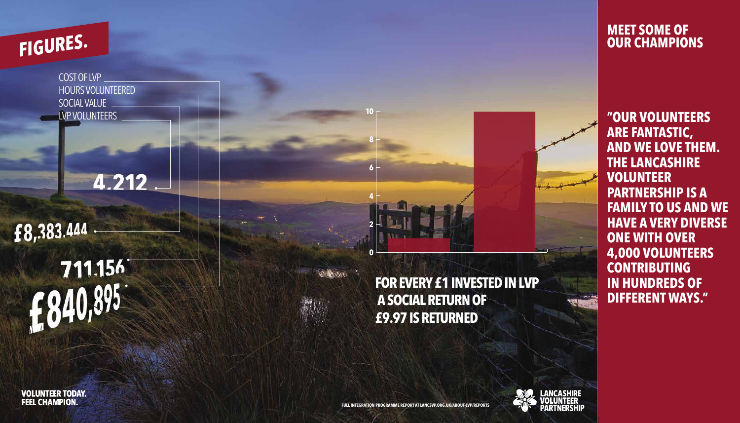COST OF LVP HOURS VOLUNTEERED SOCIAL VALUE LVP VOLUNTEERS

4.212

## £8,383.444

# 711.156  $f_7840,895$

**VOLUNTEER TODAY. FEEL CHAMPION.** 



**6**

**8**

**10**

# **FOR EVERY £1 INVESTED IN LVP**



**\_ANCASHIRE**<br>/OLUNTEER

 **A SOCIAL RETURN OF £9.97 IS RETURNED**

## **FIGURES.**

**"OUR VOLUNTEERS ARE FANTASTIC, AND WE LOVE THEM. THE LANCASHIRE VOLUNTEER PARTNERSHIP IS A FAMILY TO US AND WE HAVE A VERY DIVERSE ONE WITH OVER 4,000 VOLUNTEERS CONTRIBUTING IN HUNDREDS OF DIFFERENT WAYS."**

### **MEET SOME OF OUR CHAMPIONS**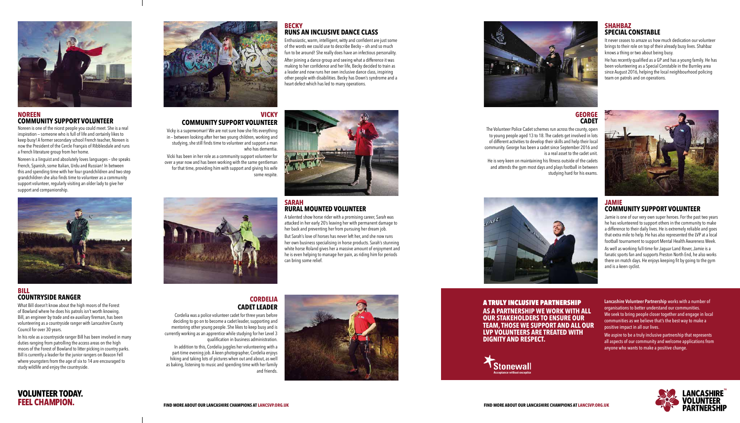#### **BECKY RUNS AN INCLUSIVE DANCE CLASS**

Enthusiastic, warm, intelligent, witty and confident are just some of the words we could use to describe Becky — oh and so much fun to be around! She really does have an infectious personality.

After joining a dance group and seeing what a difference it was making to her confidence and her life, Becky decided to train as a leader and now runs her own inclusive dance class, inspiring other people with disabilities. Becky has Down's syndrome and a heart defect which has led to many operations.



#### **SHAHBAZ SPECIAL CONSTABLE**

It never ceases to amaze us how much dedication our volunteer brings to their role on top of their already busy lives. Shahbaz knows a thing or two about being busy.

He has recently qualified as a GP and has a young family. He has been volunteering as a Special Constable in the Burnley area since August 2016, helping the local neighbourhood policing team on patrols and on operations.



#### **SARAH RURAL MOUNTED VOLUNTEER**

A talented show horse rider with a promising career, Sarah was attacked in her early 20's leaving her with permanent damage to her back and preventing her from pursuing her dream job.

But Sarah's love of horses has never left her, and she now runs her own business specialising in horse products. Sarah's stunning white horse Roland gives her a massive amount of enjoyment and he is even helping to manage her pain, as riding him for periods can bring some relief.



We aspire to be a truly inclusive partnership that represents all aspects of our community and welcome applications from anyone who wants to make a positive change.

#### **JAMIE COMMUNITY SUPPORT VOLUNTEER**

Jamie is one of our very own super heroes. For the past two years he has volunteered to support others in the community to make a difference to their daily lives. He is extremely reliable and goes that extra mile to help. He has also represented the LVP at a local football tournament to support Mental Health Awareness Week.

As well as working full-time for Jaguar Land Rover, Jamie is a fanatic sports fan and supports Preston North End, he also works there on match days. He enjoys keeping fit by going to the gym and is a keen cyclist.

A TRULY INCLUSIVE PARTNERSHIP **AS A PARTNERSHIP WE WORK WITH ALL OUR STAKEHOLDERS TO ENSURE OUR TEAM, THOSE WE SUPPORT AND ALL OUR LVP VOLUNTEERS ARE TREATED WITH DIGNITY AND RESPECT.** 

*Stonewall* 

Noreen is a linguist and absolutely loves languages – she speaks French, Spanish, some Italian, Urdu and Russian! In between this and spending time with her four grandchildren and two step grandchildren she also finds time to volunteer as a community support volunteer, regularly visiting an older lady to give her support and companionship.



**Lancashire Volunteer Partnership** works with a number of organisations to better understand our communities. We seek to bring people closer together and engage in local communities as we believe that's the best way to make a positive impact in all our lives.

#### **VICKY COMMUNITY SUPPORT VOLUNTEER**

Vicky is a superwoman! We are not sure how she fits everything in – between looking after her two young children, working and studying, she still finds time to volunteer and support a man who has dementia.

Vicki has been in her role as a community support volunteer for over a year now and has been working with the same gentleman for that time, providing him with support and giving his wife some respite.

#### **GEORGE CADET**

The Volunteer Police Cadet schemes run across the county, open to young people aged 13 to 18. The cadets get involved in lots of different activities to develop their skills and help their local community. George has been a cadet since September 2016 and is a real asset to the cadet unit.

He is very keen on maintaining his fitness outside of the cadets and attends the gym most days and plays football in between studying hard for his exams.



#### **CORDELIA CADET LEADER**

Cordelia was a police volunteer cadet for three years before deciding to go on to become a cadet leader, supporting and mentoring other young people. She likes to keep busy and is currently working as an apprentice while studying for her Level 3 qualification in business administration.

In addition to this, Cordelia juggles her volunteering with a part-time evening job. A keen photographer, Cordelia enjoys hiking and taking lots of pictures when out and about, as well as baking, listening to music and spending time with her family and friends.







#### **NOREEN COMMUNITY SUPPORT VOLUNTEER**

Noreen is one of the nicest people you could meet. She is a real inspiration — someone who is full of life and certainly likes to keep busy! A former secondary school French teacher, Noreen is now the President of the Cercle Français of Ribblesdale and runs a French literature group from her home.

#### **BILL COUNTRYSIDE RANGER**

What Bill doesn't know about the high moors of the Forest of Bowland where he does his patrols isn't worth knowing. Bill, an engineer by trade and ex-auxiliary fireman, has been volunteering as a countryside ranger with Lancashire County Council for over 30 years.

In his role as a countryside ranger Bill has been involved in many duties ranging from patrolling the access areas on the high moors of the Forest of Bowland to litter picking in country parks. Bill is currently a leader for the junior rangers on Beacon Fell where youngsters from the age of six to 14 are encouraged to study wildlife and enjoy the countryside.

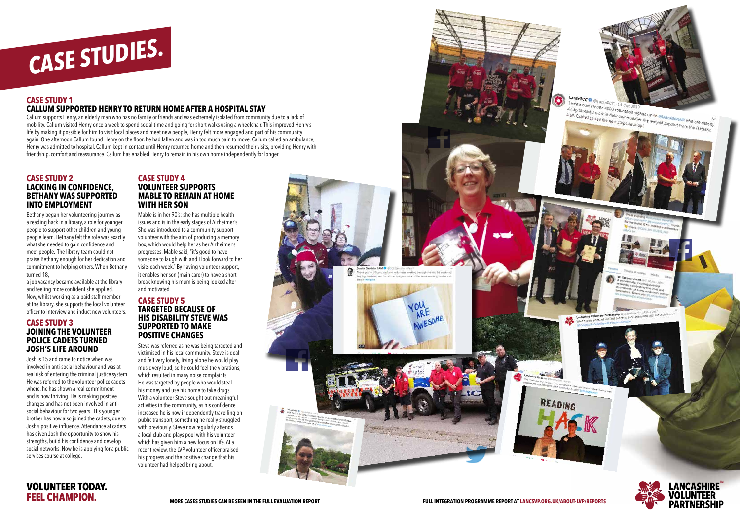#### **CASE STUDY 1 CALLUM SUPPORTED HENRY TO RETURN HOME AFTER A HOSPITAL STAY**

Callum supports Henry, an elderly man who has no family or friends and was extremely isolated from community due to a lack of mobility. Callum visited Henry once a week to spend social time and going for short walks using a wheelchair. This improved Henry's life by making it possible for him to visit local places and meet new people, Henry felt more engaged and part of his community again. One afternoon Callum found Henry on the floor, he had fallen and was in too much pain to move. Callum called an ambulance, Henry was admitted to hospital. Callum kept in contact until Henry returned home and then resumed their visits, providing Henry with friendship, comfort and reassurance. Callum has enabled Henry to remain in his own home independently for longer.

#### **CASE STUDY 2 LACKING IN CONFIDENCE, BETHANY WAS SUPPORTED INTO EMPLOYMENT**

Bethany began her volunteering journey as a reading hack in a library, a role for younger people to support other children and young people learn. Bethany felt the role was exactly what she needed to gain confidence and meet people. The library team could not praise Bethany enough for her dedication and commitment to helping others. When Bethany turned 18,

a job vacancy became available at the library and feeling more confident she applied. Now, whilst working as a paid staff member at the library, she supports the local volunteer officer to interview and induct new volunteers.

#### **CASE STUDY 3 JOINING THE VOLUNTEER POLICE CADETS TURNED JOSH'S LIFE AROUND**

Josh is 15 and came to notice when was involved in anti-social behaviour and was at real risk of entering the criminal justice system. He was referred to the volunteer police cadets where, he has shown a real commitment and is now thriving. He is making positive changes and has not been involved in antisocial behaviour for two years. His younger brother has now also joined the cadets, due to Josh's positive influence. Attendance at cadets has given Josh the opportunity to show his strengths, build his confidence and develop social networks. Now he is applying for a public services course at college.

#### **CASE STUDY 4 VOLUNTEER SUPPORTS MABLE TO REMAIN AT HOME WITH HER SON**

Mable is in her 90's; she has multiple health issues and is in the early stages of Alzheimer's. She was introduced to a community support volunteer with the aim of producing a memory box, which would help her as her Alzheimer's progresses. Mable said, "it's good to have someone to laugh with and I look forward to her visits each week." By having volunteer support, it enables her son (main carer) to have a short break knowing his mum is being looked after and motivated.

#### **CASE STUDY 5 TARGETED BECAUSE OF HIS DISABILITY STEVE WAS SUPPORTED TO MAKE POSITIVE CHANGES**

Steve was referred as he was being targeted and victimised in his local community. Steve is deaf and felt very lonely, living alone he would play music very loud, so he could feel the vibrations, which resulted in many noise complaints. He was targeted by people who would steal his money and use his home to take drugs. With a volunteer Steve sought out meaningful activities in the community, as his confidence increased he is now independently travelling on public transport, something he really struggled with previously. Steve now regularly attends a local club and plays pool with his volunteer which has given him a new focus on life. At a recent review, the LVP volunteer officer praised his progress and the positive change that his volunteer had helped bring about.





LANCASHIRE<sup>®</sup>

**PARTNERSHIP** 

**VOLUNTEER** 

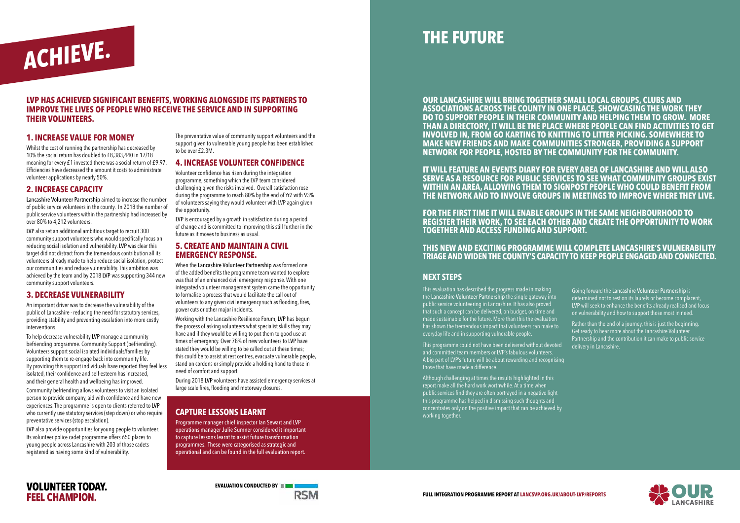#### **LVP HAS ACHIEVED SIGNIFICANT BENEFITS, WORKING ALONGSIDE ITS PARTNERS TO IMPROVE THE LIVES OF PEOPLE WHO RECEIVE THE SERVICE AND IN SUPPORTING THEIR VOLUNTEERS.**

#### **OUR LANCASHIRE WILL BRING TOGETHER SMALL LOCAL GROUPS, CLUBS AND ASSOCIATIONS ACROSS THE COUNTY IN ONE PLACE, SHOWCASING THE WORK THEY DO TO SUPPORT PEOPLE IN THEIR COMMUNITY AND HELPING THEM TO GROW. MORE THAN A DIRECTORY, IT WILL BE THE PLACE WHERE PEOPLE CAN FIND ACTIVITIES TO GET INVOLVED IN, FROM GO KARTING TO KNITTING TO LITTER PICKING. SOMEWHERE TO MAKE NEW FRIENDS AND MAKE COMMUNITIES STRONGER, PROVIDING A SUPPORT**

**NETWORK FOR PEOPLE, HOSTED BY THE COMMUNITY FOR THE COMMUNITY.** 

**IT WILL FEATURE AN EVENTS DIARY FOR EVERY AREA OF LANCASHIRE AND WILL ALSO SERVE AS A RESOURCE FOR PUBLIC SERVICES TO SEE WHAT COMMUNITY GROUPS EXIST WITHIN AN AREA, ALLOWING THEM TO SIGNPOST PEOPLE WHO COULD BENEFIT FROM THE NETWORK AND TO INVOLVE GROUPS IN MEETINGS TO IMPROVE WHERE THEY LIVE.** 

**FOR THE FIRST TIME IT WILL ENABLE GROUPS IN THE SAME NEIGHBOURHOOD TO REGISTER THEIR WORK, TO SEE EACH OTHER AND CREATE THE OPPORTUNITY TO WORK TOGETHER AND ACCESS FUNDING AND SUPPORT.** 

#### **THIS NEW AND EXCITING PROGRAMME WILL COMPLETE LANCASHIRE'S VULNERABILITY TRIAGE AND WIDEN THE COUNTY'S CAPACITY TO KEEP PEOPLE ENGAGED AND CONNECTED.**

#### **1. INCREASE VALUE FOR MONEY**

Whilst the cost of running the partnership has decreased by 10% the social return has doubled to £8,383,440 in 17/18 meaning for every £1 invested there was a social return of £9.97. Efficiencies have decreased the amount it costs to administrate volunteer applications by nearly 50%.

#### **2. INCREASE CAPACITY**

Lancashire Volunteer Partnership aimed to increase the number of public service volunteers in the county. In 2018 the number of public service volunteers within the partnership had increased by over 80% to 4,212 volunteers.

LVP also set an additional ambitious target to recruit 300 community support volunteers who would specifically focus on reducing social isolation and vulnerability. LVP was clear this target did not distract from the tremendous contribution all its volunteers already made to help reduce social isolation, protect our communities and reduce vulnerability. This ambition was achieved by the team and by 2018 LVP was supporting 344 new community support volunteers.

#### **3. DECREASE VULNERABILITY**

An important driver was to decrease the vulnerability of the public of Lancashire - reducing the need for statutory services, providing stability and preventing escalation into more costly interventions.

To help decrease vulnerability LVP manage a community befriending programme. Community Support (befriending). Volunteers support social isolated individuals/families by supporting them to re-engage back into community life. By providing this support individuals have reported they feel less isolated, their confidence and self-esteem has increased, and their general health and wellbeing has improved.

Community befriending allows volunteers to visit an isolated person to provide company, aid with confidence and have new experiences. The programme is open to clients referred to LVP who currently use statutory services (step down) or who require preventative services (stop escalation).

Rather than the end of a journey, this is just the beginning. Get ready to hear more about the Lancashire Volunteer Partnership and the contribution it can make to public service delivery in Lancashire.





LVP also provide opportunities for young people to volunteer. Its volunteer police cadet programme offers 650 places to young people across Lancashire with 203 of those cadets registered as having some kind of vulnerability.

The preventative value of community support volunteers and the support given to vulnerable young people has been established to be over £2.3M.

#### **4. INCREASE VOLUNTEER CONFIDENCE**

Volunteer confidence has risen during the integration programme, something which the LVP team considered challenging given the risks involved. Overall satisfaction rose during the programme to reach 80% by the end of Yr2 with 93% of volunteers saying they would volunteer with LVP again given the opportunity.

LVP is encouraged by a growth in satisfaction during a period of change and is committed to improving this still further in the future as it moves to business as usual.

#### **5. CREATE AND MAINTAIN A CIVIL EMERGENCY RESPONSE.**

When the Lancashire Volunteer Partnership was formed one of the added benefits the programme team wanted to explore was that of an enhanced civil emergency response. With one integrated volunteer management system came the opportunity to formalise a process that would facilitate the call out of volunteers to any given civil emergency such as flooding, fires, power cuts or other major incidents.

Working with the Lancashire Resilience Forum, LVP has begun the process of asking volunteers what specialist skills they may have and if they would be willing to put them to good use at times of emergency. Over 78% of new volunteers to LVP have stated they would be willing to be called out at these times; this could be to assist at rest centres, evacuate vulnerable people, stand on cordons or simply provide a holding hand to those in need of comfort and support.

During 2018 LVP volunteers have assisted emergency services at large scale fires, flooding and motorway closures.

#### **CAPTURE LESSONS LEARNT**

Programme manager chief inspector Ian Sewart and LVP operations manager Julie Sumner considered it important to capture lessons learnt to assist future transformation programmes. These were categorised as strategic and operational and can be found in the full evaluation report.

#### **NEXT STEPS**

This evaluation has described the progress made in making the Lancashire Volunteer Partnership the single gateway into public service volunteering in Lancashire. It has also proved that such a concept can be delivered, on budget, on time and made sustainable for the future. More than this the evaluation has shown the tremendous impact that volunteers can make to everyday life and in supporting vulnerable people.

This programme could not have been delivered without devoted and committed team members or LVP's fabulous volunteers. A big part of LVP's future will be about rewarding and recognising those that have made a difference.

Although challenging at times the results highlighted in this report make all the hard work worthwhile. At a time when public services find they are often portrayed in a negative light this programme has helped in dismissing such thoughts and concentrates only on the positive impact that can be achieved by working together.



Going forward the Lancashire Volunteer Partnership is determined not to rest on its laurels or become complacent, LVP will seek to enhance the benefits already realised and focus on vulnerability and how to support those most in need.



### **THE FUTURE**